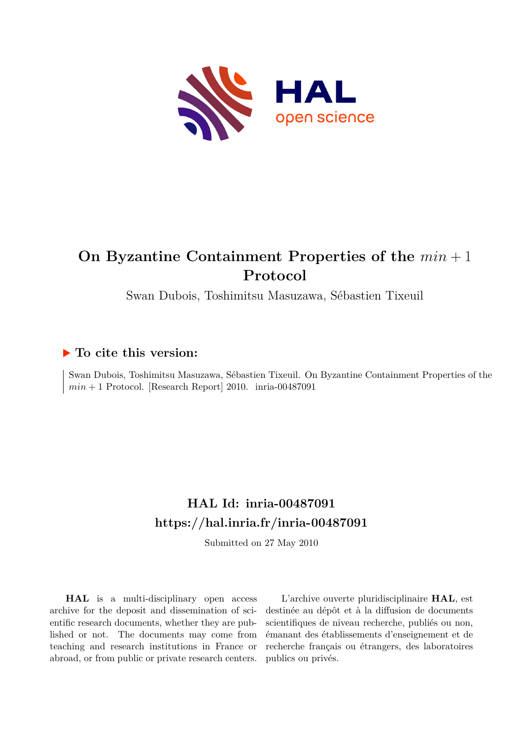

# **On Byzantine Containment Properties of the** *min* + 1 **Protocol**

Swan Dubois, Toshimitsu Masuzawa, Sébastien Tixeuil

## **To cite this version:**

Swan Dubois, Toshimitsu Masuzawa, Sébastien Tixeuil. On Byzantine Containment Properties of the  $min + 1$  Protocol. [Research Report] 2010.  $inria-00487091$ 

# **HAL Id: inria-00487091 <https://hal.inria.fr/inria-00487091>**

Submitted on 27 May 2010

**HAL** is a multi-disciplinary open access archive for the deposit and dissemination of scientific research documents, whether they are published or not. The documents may come from teaching and research institutions in France or abroad, or from public or private research centers.

L'archive ouverte pluridisciplinaire **HAL**, est destinée au dépôt et à la diffusion de documents scientifiques de niveau recherche, publiés ou non, émanant des établissements d'enseignement et de recherche français ou étrangers, des laboratoires publics ou privés.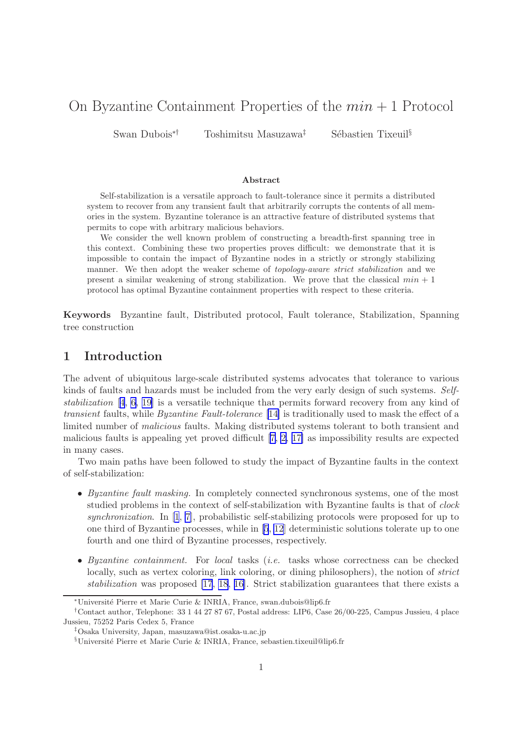## On Byzantine Containment Properties of the  $min + 1$  Protocol

Swan Dubois<sup>∗†</sup> Toshimitsu Masuzawa<sup>‡</sup> Sébastien Tixeuil<sup>§</sup>

#### Abstract

Self-stabilization is a versatile approach to fault-tolerance since it permits a distributed system to recover from any transient fault that arbitrarily corrupts the contents of all memories in the system. Byzantine tolerance is an attractive feature of distributed systems that permits to cope with arbitrary malicious behaviors.

We consider the well known problem of constructing a breadth-first spanning tree in this context. Combining these two properties proves difficult: we demonstrate that it is impossible to contain the impact of Byzantine nodes in a strictly or strongly stabilizing manner. We then adopt the weaker scheme of *topology-aware strict stabilization* and we present a similar weakening of strong stabilization. We prove that the classical  $min + 1$ protocol has optimal Byzantine containment properties with respect to these criteria.

Keywords Byzantine fault, Distributed protocol, Fault tolerance, Stabilization, Spanning tree construction

## 1 Introduction

The advent of ubiquitous large-scale distributed systems advocates that tolerance to various kinds of faults and hazards must be included from the very early design of such systems. *Selfstabilization* [[4](#page-17-0), [6,](#page-17-0) [19\]](#page-18-0) is a versatile technique that permits forward recovery from any kind of *transient* faults, while *Byzantine Fault-tolerance* [\[14\]](#page-18-0) is traditionally used to mask the effect of a limited number of *malicious* faults. Making distributed systems tolerant to both transient and malicious faults is appealing yet proved difficult [\[7, 2,](#page-17-0) [17\]](#page-18-0) as impossibility results are expected in many cases.

Two main paths have been followed to study the impact of Byzantine faults in the context of self-stabilization:

- *Byzantine fault masking.* In completely connected synchronous systems, one of the most studied problems in the context of self-stabilization with Byzantine faults is that of *clock synchronization*. In [\[1](#page-17-0), [7\]](#page-17-0), probabilistic self-stabilizing protocols were proposed for up to one third of Byzantine processes, while in[[5](#page-17-0), [12](#page-18-0)] deterministic solutions tolerate up to one fourth and one third of Byzantine processes, respectively.
- *Byzantine containment.* For *local* tasks (*i.e.* tasks whose correctness can be checked locally, such as vertex coloring, link coloring, or dining philosophers), the notion of *strict stabilization* was proposed [\[17](#page-18-0), [18](#page-18-0), [16\]](#page-18-0). Strict stabilization guarantees that there exists a

<sup>∗</sup>Universit´e Pierre et Marie Curie & INRIA, France, swan.dubois@lip6.fr

<sup>†</sup>Contact author, Telephone: 33 1 44 27 87 67, Postal address: LIP6, Case 26/00-225, Campus Jussieu, 4 place Jussieu, 75252 Paris Cedex 5, France

<sup>‡</sup>Osaka University, Japan, masuzawa@ist.osaka-u.ac.jp

 $$Université Pierre et Marie Curie & INRIA, France, sebastien.tixeuil@lip6.fr$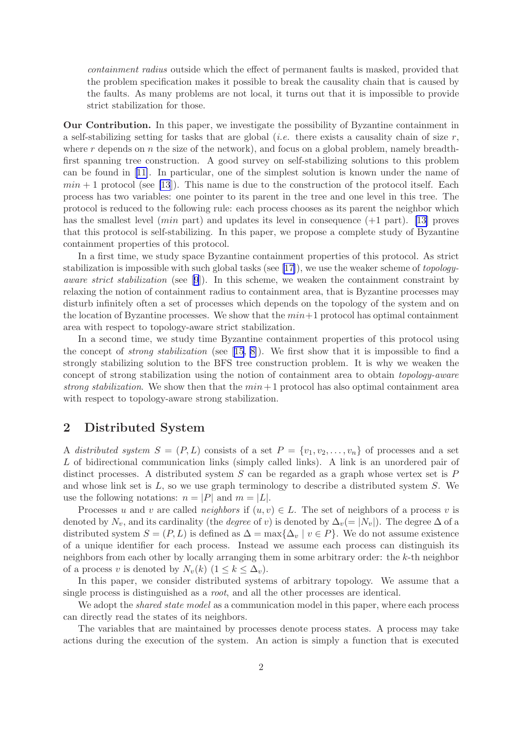*containment radius* outside which the effect of permanent faults is masked, provided that the problem specification makes it possible to break the causality chain that is caused by the faults. As many problems are not local, it turns out that it is impossible to provide strict stabilization for those.

Our Contribution. In this paper, we investigate the possibility of Byzantine containment in a self-stabilizing setting for tasks that are global (*i.e.* there exists a causality chain of size  $r$ , where r depends on n the size of the network), and focus on a global problem, namely breadthfirst spanning tree construction. A good survey on self-stabilizing solutions to this problem can be found in[[11\]](#page-18-0). In particular, one of the simplest solution is known under the name of  $min + 1$  protocol (see [\[13](#page-18-0)]). This name is due to the construction of the protocol itself. Each process has two variables: one pointer to its parent in the tree and one level in this tree. The protocol is reduced to the following rule: each process chooses as its parent the neighbor which has the smallest level (*min* part) and updates its level in consequence  $(+1 \text{ part})$ . [\[13\]](#page-18-0) proves that this protocol is self-stabilizing. In this paper, we propose a complete study of Byzantine containment properties of this protocol.

In a first time, we study space Byzantine containment properties of this protocol. As strict stabilization is impossible with such global tasks (see [\[17\]](#page-18-0)), we use the weaker scheme of *topologyaware strict stabilization* (see [\[9](#page-18-0)]). In this scheme, we weaken the containment constraint by relaxing the notion of containment radius to containment area, that is Byzantine processes may disturb infinitely often a set of processes which depends on the topology of the system and on the location of Byzantine processes. We show that the  $min+1$  protocol has optimal containment area with respect to topology-aware strict stabilization.

In a second time, we study time Byzantine containment properties of this protocol using the concept of *strong stabilization* (see [\[15,](#page-18-0) [8\]](#page-17-0)). We first show that it is impossible to find a strongly stabilizing solution to the BFS tree construction problem. It is why we weaken the concept of strong stabilization using the notion of containment area to obtain *topology-aware strong stabilization*. We show then that the  $min + 1$  protocol has also optimal containment area with respect to topology-aware strong stabilization.

## 2 Distributed System

A *distributed system*  $S = (P, L)$  consists of a set  $P = \{v_1, v_2, \ldots, v_n\}$  of processes and a set L of bidirectional communication links (simply called links). A link is an unordered pair of distinct processes. A distributed system  $S$  can be regarded as a graph whose vertex set is  $P$ and whose link set is  $L$ , so we use graph terminology to describe a distributed system  $S$ . We use the following notations:  $n = |P|$  and  $m = |L|$ .

Processes u and v are called *neighbors* if  $(u, v) \in L$ . The set of neighbors of a process v is denoted by  $N_v$ , and its cardinality (the *degree* of v) is denoted by  $\Delta_v(= |N_v|)$ . The degree  $\Delta$  of a distributed system  $S = (P, L)$  is defined as  $\Delta = \max{\{\Delta_v \mid v \in P\}}$ . We do not assume existence of a unique identifier for each process. Instead we assume each process can distinguish its neighbors from each other by locally arranging them in some arbitrary order: the k-th neighbor of a process v is denoted by  $N_v(k)$   $(1 \leq k \leq \Delta_v)$ .

In this paper, we consider distributed systems of arbitrary topology. We assume that a single process is distinguished as a *root*, and all the other processes are identical.

We adopt the *shared state model* as a communication model in this paper, where each process can directly read the states of its neighbors.

The variables that are maintained by processes denote process states. A process may take actions during the execution of the system. An action is simply a function that is executed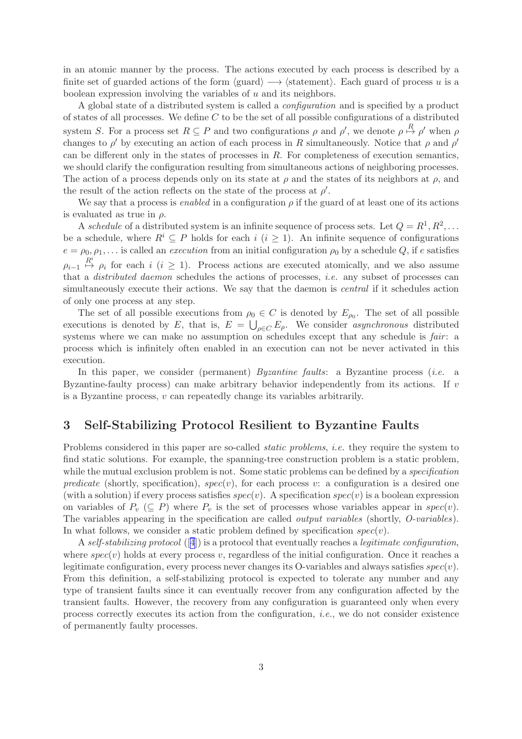in an atomic manner by the process. The actions executed by each process is described by a finite set of guarded actions of the form  $\langle \text{guard} \rangle \longrightarrow \langle \text{statement} \rangle$ . Each guard of process u is a boolean expression involving the variables of u and its neighbors.

A global state of a distributed system is called a *configuration* and is specified by a product of states of all processes. We define  $C$  to be the set of all possible configurations of a distributed system S. For a process set  $R \subseteq P$  and two configurations  $\rho$  and  $\rho'$ , we denote  $\rho \stackrel{R}{\mapsto} \rho'$  when  $\rho$ changes to  $\rho'$  by executing an action of each process in R simultaneously. Notice that  $\rho$  and  $\rho'$ can be different only in the states of processes in  $R$ . For completeness of execution semantics, we should clarify the configuration resulting from simultaneous actions of neighboring processes. The action of a process depends only on its state at  $\rho$  and the states of its neighbors at  $\rho$ , and the result of the action reflects on the state of the process at  $\rho'$ .

We say that a process is *enabled* in a configuration  $\rho$  if the guard of at least one of its actions is evaluated as true in  $\rho$ .

A *schedule* of a distributed system is an infinite sequence of process sets. Let  $Q = R^1, R^2, \ldots$ be a schedule, where  $R^i \subseteq P$  holds for each  $i \ (i \geq 1)$ . An infinite sequence of configurations  $e = \rho_0, \rho_1, \ldots$  is called an *execution* from an initial configuration  $\rho_0$  by a schedule Q, if e satisfies  $\rho_{i-1} \stackrel{R^i}{\mapsto} \rho_i$  for each  $i \ (i \geq 1)$ . Process actions are executed atomically, and we also assume that a *distributed daemon* schedules the actions of processes, *i.e.* any subset of processes can simultaneously execute their actions. We say that the daemon is *central* if it schedules action of only one process at any step.

The set of all possible executions from  $\rho_0 \in C$  is denoted by  $E_{\rho_0}$ . The set of all possible executions is denoted by E, that is,  $E = \bigcup_{\rho \in C} E_{\rho}$ . We consider *asynchronous* distributed systems where we can make no assumption on schedules except that any schedule is *fair*: a process which is infinitely often enabled in an execution can not be never activated in this execution.

In this paper, we consider (permanent) *Byzantine faults*: a Byzantine process (*i.e.* a Byzantine-faulty process) can make arbitrary behavior independently from its actions. If  $\upsilon$ is a Byzantine process,  $v$  can repeatedly change its variables arbitrarily.

### 3 Self-Stabilizing Protocol Resilient to Byzantine Faults

Problems considered in this paper are so-called *static problems*, *i.e.* they require the system to find static solutions. For example, the spanning-tree construction problem is a static problem, while the mutual exclusion problem is not. Some static problems can be defined by a *specification predicate* (shortly, specification),  $spec(v)$ , for each process v: a configuration is a desired one (with a solution) if every process satisfies  $spec(v)$ . A specification  $spec(v)$  is a boolean expression on variables of  $P_v \subseteq P$ ) where  $P_v$  is the set of processes whose variables appear in spec(v). The variables appearing in the specification are called *output variables* (shortly, *O-variables*). In what follows, we consider a static problem defined by specification  $spec(v)$ .

A *self-stabilizing protocol* ([[4](#page-17-0)]) is a protocol that eventually reaches a *legitimate configuration*, where  $spec(v)$  holds at every process v, regardless of the initial configuration. Once it reaches a legitimate configuration, every process never changes its O-variables and always satisfies  $spec(v)$ . From this definition, a self-stabilizing protocol is expected to tolerate any number and any type of transient faults since it can eventually recover from any configuration affected by the transient faults. However, the recovery from any configuration is guaranteed only when every process correctly executes its action from the configuration, *i.e.*, we do not consider existence of permanently faulty processes.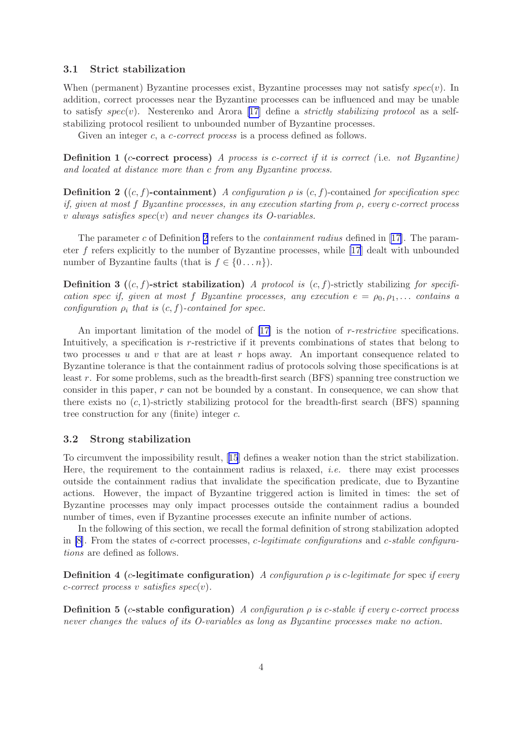#### <span id="page-4-0"></span>3.1 Strict stabilization

When (permanent) Byzantine processes exist, Byzantine processes may not satisfy  $spec(v)$ . In addition, correct processes near the Byzantine processes can be influenced and may be unable to satisfy spec(v). Nesterenko and Arora [\[17\]](#page-18-0) define a *strictly stabilizing protocol* as a selfstabilizing protocol resilient to unbounded number of Byzantine processes.

Given an integer c, a c-correct process is a process defined as follows.

Definition 1 (c-correct process) *A process is* c*-correct if it is correct (* i.e. *not Byzantine) and located at distance more than* c *from any Byzantine process.*

**Definition 2** ((c, f)-containment) *A configuration*  $\rho$  *is* (c, f)-contained *for specification spec if, given at most* f *Byzantine processes, in any execution starting from* ρ*, every* c*-correct process* v *always satisfies* spec(v) *and never changes its O-variables.*

The parameter c of Definition 2 refers to the *containment radius* defined in[[17\]](#page-18-0). The parameter f refers explicitly to the number of Byzantine processes, while [\[17](#page-18-0)] dealt with unbounded number of Byzantine faults (that is  $f \in \{0 \dots n\}$ ).

Definition 3 ((c, f)-strict stabilization) *A protocol is* (c, f)-strictly stabilizing *for specification* spec *if, given at most* f *Byzantine* processes, any execution  $e = \rho_0, \rho_1, \ldots$  contains a *configuration*  $\rho_i$  *that is*  $(c, f)$ *-contained for spec.* 

An important limitation of the model of [\[17\]](#page-18-0) is the notion of r-*restrictive* specifications. Intuitively, a specification is r-restrictive if it prevents combinations of states that belong to two processes u and v that are at least r hops away. An important consequence related to Byzantine tolerance is that the containment radius of protocols solving those specifications is at least r. For some problems, such as the breadth-first search (BFS) spanning tree construction we consider in this paper,  $r$  can not be bounded by a constant. In consequence, we can show that there exists no  $(c, 1)$ -strictly stabilizing protocol for the breadth-first search (BFS) spanning tree construction for any (finite) integer c.

#### 3.2 Strong stabilization

To circumvent the impossibility result,[[15](#page-18-0)] defines a weaker notion than the strict stabilization. Here, the requirement to the containment radius is relaxed, *i.e.* there may exist processes outside the containment radius that invalidate the specification predicate, due to Byzantine actions. However, the impact of Byzantine triggered action is limited in times: the set of Byzantine processes may only impact processes outside the containment radius a bounded number of times, even if Byzantine processes execute an infinite number of actions.

In the following of this section, we recall the formal definition of strong stabilization adopted in [\[8](#page-17-0)]. From the states of c-correct processes, c*-legitimate configurations* and c*-stable configurations* are defined as follows.

Definition 4 (c-legitimate configuration) *A configuration* ρ *is* c*-legitimate for* spec *if every* c*-correct process* v *satisfies* spec(v)*.*

Definition 5 (c-stable configuration) *A configuration* ρ *is* c*-stable if every* c*-correct process never changes the values of its O-variables as long as Byzantine processes make no action.*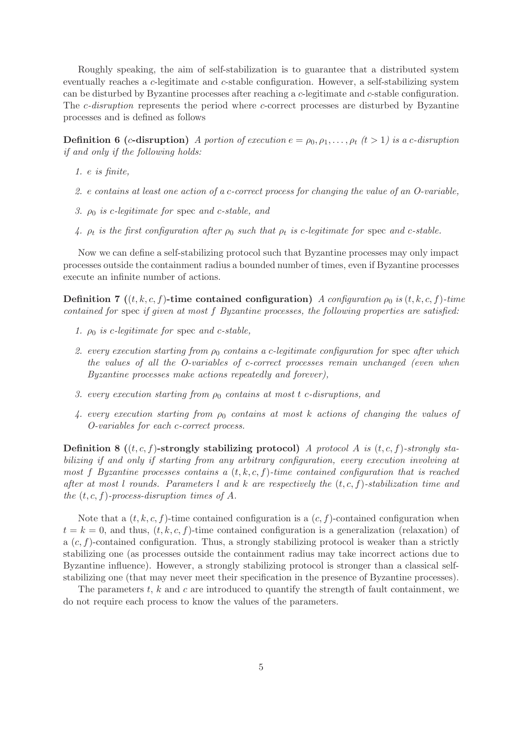Roughly speaking, the aim of self-stabilization is to guarantee that a distributed system eventually reaches a c-legitimate and c-stable configuration. However, a self-stabilizing system can be disturbed by Byzantine processes after reaching a c-legitimate and c-stable configuration. The *c*-disruption represents the period where *c*-correct processes are disturbed by Byzantine processes and is defined as follows

**Definition 6 (c-disruption)** *A portion of execution*  $e = \rho_0, \rho_1, \ldots, \rho_t$  ( $t > 1$ ) is a c-disruption *if and only if the following holds:*

- *1.* e *is finite,*
- *2.* e *contains at least one action of a* c*-correct process for changing the value of an O-variable,*
- *3.* ρ0 *is* c*-legitimate for* spec *and* c*-stable, and*
- 4.  $\rho_t$  is the first configuration after  $\rho_0$  such that  $\rho_t$  is c-legitimate for spec and c-stable.

Now we can define a self-stabilizing protocol such that Byzantine processes may only impact processes outside the containment radius a bounded number of times, even if Byzantine processes execute an infinite number of actions.

**Definition 7** ((t, k, c, f)-time contained configuration) *A configuration*  $\rho_0$  *is* (t, k, c, f)*-time contained for* spec *if given at most* f *Byzantine processes, the following properties are satisfied:*

- *1.*  $\rho_0$  *is c-legitimate for spec and c-stable,*
- 2. every execution starting from  $ρ_0$  contains a c-legitimate configuration for spec after which *the values of all the O-variables of* c*-correct processes remain unchanged (even when Byzantine processes make actions repeatedly and forever),*
- *3. every execution starting from* ρ0 *contains at most* t c*-disruptions, and*
- *4. every execution starting from* ρ0 *contains at most* k *actions of changing the values of O-variables for each* c*-correct process.*

Definition 8 ((t, c, f)-strongly stabilizing protocol) *A protocol* A *is* (t, c, f)*-strongly stabilizing if and only if starting from any arbitrary configuration, every execution involving at most* f *Byzantine processes contains a*  $(t, k, c, f)$ *-time contained configuration that is reached after at most* l *rounds. Parameters* l *and* k *are respectively the* (t, c, f)*-stabilization time and the*  $(t, c, f)$ *-process-disruption times of A.* 

Note that a  $(t, k, c, f)$ -time contained configuration is a  $(c, f)$ -contained configuration when  $t = k = 0$ , and thus,  $(t, k, c, f)$ -time contained configuration is a generalization (relaxation) of a  $(c, f)$ -contained configuration. Thus, a strongly stabilizing protocol is weaker than a strictly stabilizing one (as processes outside the containment radius may take incorrect actions due to Byzantine influence). However, a strongly stabilizing protocol is stronger than a classical selfstabilizing one (that may never meet their specification in the presence of Byzantine processes).

The parameters  $t, k$  and  $c$  are introduced to quantify the strength of fault containment, we do not require each process to know the values of the parameters.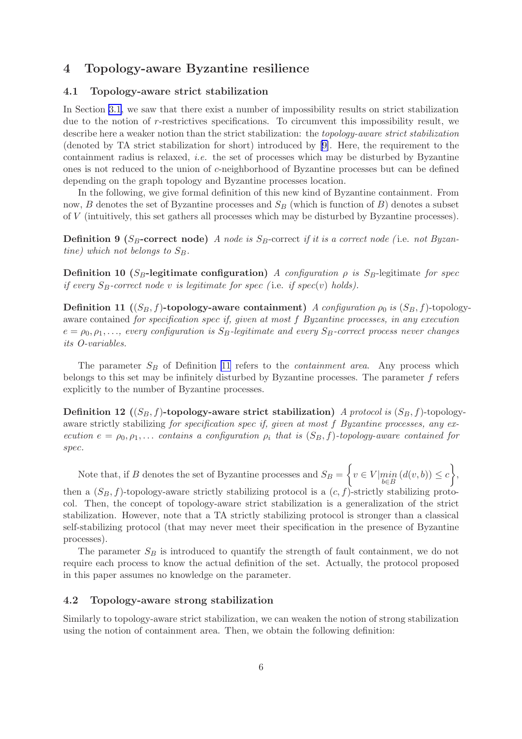## 4 Topology-aware Byzantine resilience

#### 4.1 Topology-aware strict stabilization

In Section [3.1](#page-4-0), we saw that there exist a number of impossibility results on strict stabilization due to the notion of r-restrictives specifications. To circumvent this impossibility result, we describe here a weaker notion than the strict stabilization: the *topology-aware strict stabilization* (denoted by TA strict stabilization for short) introduced by [\[9\]](#page-18-0). Here, the requirement to the containment radius is relaxed, *i.e.* the set of processes which may be disturbed by Byzantine ones is not reduced to the union of c-neighborhood of Byzantine processes but can be defined depending on the graph topology and Byzantine processes location.

In the following, we give formal definition of this new kind of Byzantine containment. From now, B denotes the set of Byzantine processes and  $S_B$  (which is function of B) denotes a subset of V (intuitively, this set gathers all processes which may be disturbed by Byzantine processes).

**Definition 9** (S<sub>B</sub>-correct node) *A node is* S<sub>B</sub>-correct *if it is a correct node* (i.e. *not Byzantine)* which not belongs to  $S_B$ .

Definition 10 ( $S_B$ -legitimate configuration) *A configuration*  $\rho$  *is*  $S_B$ -legitimate *for* spec *if every*  $S_B$ -correct node v *is legitimate for spec* (*i.e. <i>if spec(v) holds*).

**Definition 11** (( $S_B$ , f)-topology-aware containment) *A configuration*  $\rho_0$  *is* ( $S_B$ , f)-topologyaware contained *for specification* spec *if, given at most* f *Byzantine processes, in any execution*  $e = \rho_0, \rho_1, \ldots$ , every configuration is  $S_B$ -legitimate and every  $S_B$ -correct process never changes *its O-variables.*

The parameter  $S_B$  of Definition 11 refers to the *containment area*. Any process which belongs to this set may be infinitely disturbed by Byzantine processes. The parameter  $f$  refers explicitly to the number of Byzantine processes.

Definition 12  $((S_B, f)$ -topology-aware strict stabilization) *A protocol is*  $(S_B, f)$ -topologyaware strictly stabilizing *for specification* spec *if, given at most* f *Byzantine processes, any execution*  $e = \rho_0, \rho_1, \ldots$  *contains* a *configuration*  $\rho_i$  *that is*  $(S_B, f)$ *-topology-aware contained for* spec*.*

Note that, if B denotes the set of Byzantine processes and  $S_B = \left\{ v \in V | \min_{b \in B} \left( d(v, b) \right) \leq c \right\},\$ 

then a  $(S_B, f)$ -topology-aware strictly stabilizing protocol is a  $(c, f)$ -strictly stabilizing protocol. Then, the concept of topology-aware strict stabilization is a generalization of the strict stabilization. However, note that a TA strictly stabilizing protocol is stronger than a classical self-stabilizing protocol (that may never meet their specification in the presence of Byzantine processes).

The parameter  $S_B$  is introduced to quantify the strength of fault containment, we do not require each process to know the actual definition of the set. Actually, the protocol proposed in this paper assumes no knowledge on the parameter.

#### 4.2 Topology-aware strong stabilization

Similarly to topology-aware strict stabilization, we can weaken the notion of strong stabilization using the notion of containment area. Then, we obtain the following definition: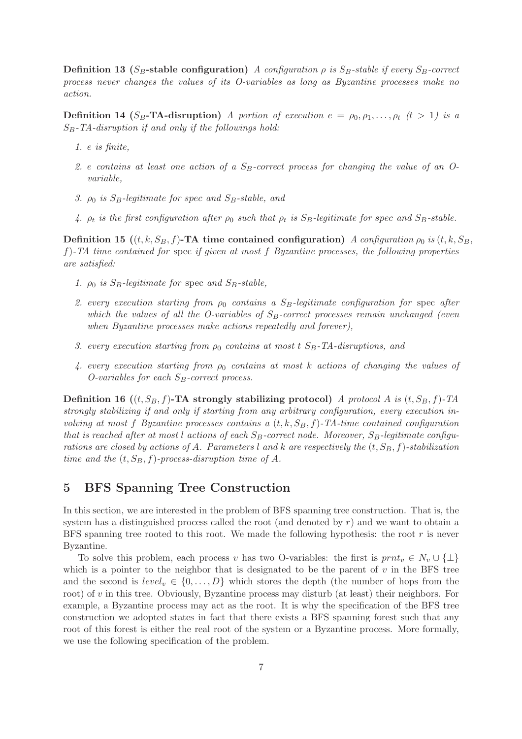**Definition 13** ( $S_B$ -stable configuration) *A configuration*  $\rho$  *is*  $S_B$ -stable *if every*  $S_B$ -correct *process never changes the values of its O-variables as long as Byzantine processes make no action.*

**Definition 14 (S<sub>B</sub>-TA-disruption)** *A portion of execution*  $e = \rho_0, \rho_1, \ldots, \rho_t$  ( $t > 1$ ) is a SB*-TA-disruption if and only if the followings hold:*

- *1.* e *is finite,*
- 2. e contains at least one action of a S<sub>B</sub>-correct process for changing the value of an O*variable,*
- *3.*  $\rho_0$  *is*  $S_B$ -legitimate for spec and  $S_B$ -stable, and
- 4.  $\rho_t$  is the first configuration after  $\rho_0$  such that  $\rho_t$  is  $S_B$ -legitimate for spec and  $S_B$ -stable.

Definition 15  $((t, k, S_B, f)$ -TA time contained configuration) *A configuration*  $\rho_0$  *is*  $(t, k, S_B, f)$ f)*-TA time contained for* spec *if given at most* f *Byzantine processes, the following properties are satisfied:*

- *1.*  $\rho_0$  *is*  $S_B$ -legitimate for spec and  $S_B$ -stable,
- 2. every execution starting from  $ρ_0$  contains a S<sub>B</sub>-legitimate configuration for spec after *which the values of all the O-variables of S<sub>B</sub>-correct processes remain unchanged (even when Byzantine processes make actions repeatedly and forever),*
- *3. every execution starting from*  $ρ_0$  *contains at most t S<sub>B</sub>-TA-disruptions, and*
- *4. every execution starting from* ρ0 *contains at most* k *actions of changing the values of O-variables for each*  $S_B$ -correct process.

Definition 16  $((t, S_B, f)$ -TA strongly stabilizing protocol) *A protocol A is*  $(t, S_B, f)$ -TA *strongly stabilizing if and only if starting from any arbitrary configuration, every execution involving at most* f *Byzantine processes contains a*  $(t, k, S_B, f)$ -TA-time contained configuration *that is reached after at most* l *actions of each* SB*-correct node. Moreover,* SB*-legitimate configurations are closed by actions of* A. Parameters l and k are respectively the  $(t, S_B, f)$ -stabilization *time and the*  $(t, S_B, f)$ *-process-disruption time of A.* 

## 5 BFS Spanning Tree Construction

In this section, we are interested in the problem of BFS spanning tree construction. That is, the system has a distinguished process called the root (and denoted by  $r$ ) and we want to obtain a BFS spanning tree rooted to this root. We made the following hypothesis: the root  $r$  is never Byzantine.

To solve this problem, each process v has two O-variables: the first is  $prnt_v \in N_v \cup \{\perp\}$ which is a pointer to the neighbor that is designated to be the parent of  $v$  in the BFS tree and the second is  $level_v \in \{0, \ldots, D\}$  which stores the depth (the number of hops from the root) of  $v$  in this tree. Obviously, Byzantine process may disturb (at least) their neighbors. For example, a Byzantine process may act as the root. It is why the specification of the BFS tree construction we adopted states in fact that there exists a BFS spanning forest such that any root of this forest is either the real root of the system or a Byzantine process. More formally, we use the following specification of the problem.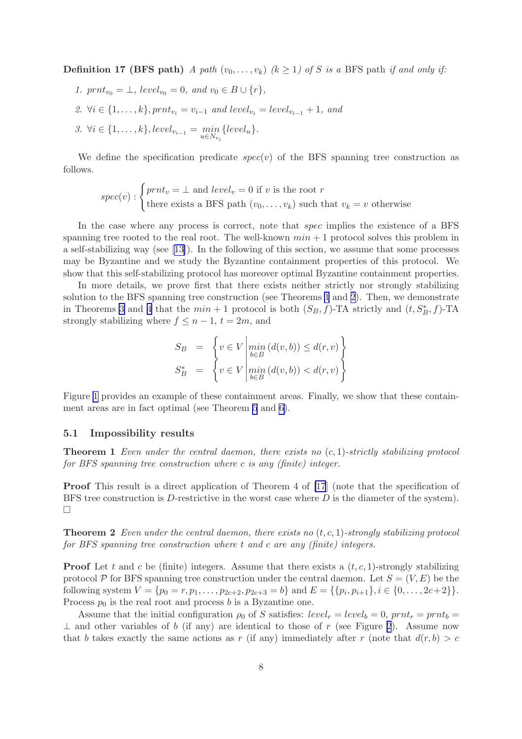<span id="page-8-0"></span>**Definition 17 (BFS path)** *A path*  $(v_0, \ldots, v_k)$   $(k \ge 1)$  of S is a BFS path if and only if:

*1.*  $prnt_{v_0} = \bot$ *, level*<sub> $v_0$ </sub> = 0*,* and  $v_0 \in B \cup \{r\}$ *, 2.* ∀ $i \in \{1, ..., k\}$ ,  $prnt_{v_i} = v_{i-1}$  *and* level<sub> $v_i$ </sub> = level<sub> $v_{i-1}$ </sub> + 1*, and 3.* ∀*i* ∈ {1,...,*k*}, level<sub>v<sub>i-1</sub></sub> =  $\min_{u \in N_{v_i}}$  {level<sub>u</sub>}.

We define the specification predicate  $spec(v)$  of the BFS spanning tree construction as follows.

$$
spec(v): \begin{cases} prnt_v = \bot \text{ and } level_v = 0 \text{ if } v \text{ is the root } r\\ \text{there exists a BFS path } (v_0, \ldots, v_k) \text{ such that } v_k = v \text{ otherwise } \end{cases}
$$

In the case where any process is correct, note that *spec* implies the existence of a BFS spanning tree rooted to the real root. The well-known  $min + 1$  protocol solves this problem in a self-stabilizing way (see[[13\]](#page-18-0)). In the following of this section, we assume that some processes may be Byzantine and we study the Byzantine containment properties of this protocol. We show that this self-stabilizing protocol has moreover optimal Byzantine containment properties.

In more details, we prove first that there exists neither strictly nor strongly stabilizing solution to the BFS spanning tree construction (see Theorems 1 and 2). Then, we demonstrate in Theorems [3](#page-13-0) and [4](#page-15-0) that the  $min + 1$  protocol is both  $(S_B, f)$ -TA strictly and  $(t, S_B^*, f)$ -TA strongly stabilizing where  $f \leq n-1$ ,  $t = 2m$ , and

$$
S_B = \left\{ v \in V \left| \min_{b \in B} (d(v, b)) \leq d(r, v) \right\} S_B^* = \left\{ v \in V \left| \min_{b \in B} (d(v, b)) < d(r, v) \right\} \right\}
$$

Figure [1](#page-9-0) provides an example of these containment areas. Finally, we show that these containment areas are in fact optimal (see Theorem [5](#page-15-0) and [6\)](#page-15-0).

#### 5.1 Impossibility results

Theorem 1 *Even under the central daemon, there exists no* (c, 1)*-strictly stabilizing protocol for BFS spanning tree construction where* c *is any (finite) integer.*

Proof This result is a direct application of Theorem 4 of [\[17](#page-18-0)] (note that the specification of BFS tree construction is  $D$ -restrictive in the worst case where  $D$  is the diameter of the system).  $\Box$ 

Theorem 2 *Even under the central daemon, there exists no* (t, c, 1)*-strongly stabilizing protocol for BFS spanning tree construction where* t *and* c *are any (finite) integers.*

**Proof** Let t and c be (finite) integers. Assume that there exists a  $(t, c, 1)$ -strongly stabilizing protocol P for BFS spanning tree construction under the central daemon. Let  $S = (V, E)$  be the following system  $V = \{p_0 = r, p_1, \ldots, p_{2c+2}, p_{2c+3} = b\}$  and  $E = \{\{p_i, p_{i+1}\}, i \in \{0, \ldots, 2c+2\}\}.$ Process  $p_0$  is the real root and process b is a Byzantine one.

Assume that the initial configuration  $\rho_0$  of S satisfies:  $level_r = level_b = 0$ ,  $prnt_r = prnt_b =$  $\perp$  and other variables of b (if any) are identical to those of r (see Figure [2](#page-10-0)). Assume now that b takes exactly the same actions as r (if any) immediately after r (note that  $d(r, b) > c$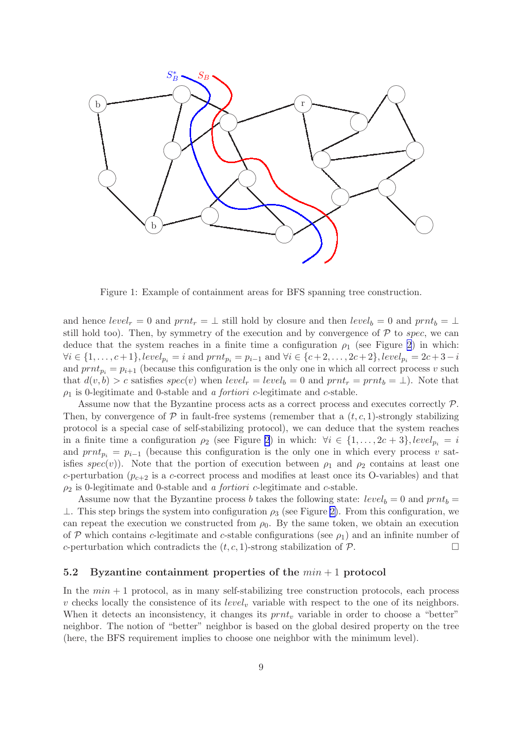<span id="page-9-0"></span>

Figure 1: Example of containment areas for BFS spanning tree construction.

and hence  $level_r = 0$  and  $prnt_r = \perp$  still hold by closure and then  $level_b = 0$  and  $prnt_b = \perp$ still hold too). Then, by symmetry of the execution and by convergence of  $P$  to spec, we can deduce that the system reaches in a finite time a configuration  $\rho_1$  (see Figure [2](#page-10-0)) in which:  $\forall i \in \{1, \ldots, c+1\}, level_{p_i} = i \text{ and } prnt_{p_i} = p_{i-1} \text{ and } \forall i \in \{c+2, \ldots, 2c+2\}, level_{p_i} = 2c+3-i$ and  $prnt_{p_i} = p_{i+1}$  (because this configuration is the only one in which all correct process v such that  $d(v, b) > c$  satisfies  $spec(v)$  when  $level_r = level_b = 0$  and  $prnt_r = prnt_b = \perp$ ). Note that  $\rho_1$  is 0-legitimate and 0-stable and *a fortiori c*-legitimate and *c*-stable.

Assume now that the Byzantine process acts as a correct process and executes correctly P. Then, by convergence of  $\mathcal P$  in fault-free systems (remember that a  $(t, c, 1)$ -strongly stabilizing protocol is a special case of self-stabilizing protocol), we can deduce that the system reaches in a finite time a configuration  $\rho_2$  (see Figure [2](#page-10-0)) in which:  $\forall i \in \{1, ..., 2c + 3\}, level_{p_i} = i$ and  $prnt_{p_i} = p_{i-1}$  (because this configuration is the only one in which every process v satisfies spec(v)). Note that the portion of execution between  $\rho_1$  and  $\rho_2$  contains at least one c-perturbation ( $p_{c+2}$  is a c-correct process and modifies at least once its O-variables) and that  $\rho_2$  is 0-legitimate and 0-stable and *a fortiori* c-legitimate and c-stable.

Assume now that the Byzantine process b takes the following state:  $level_b = 0$  and  $prnt_b =$  $⊥$ . This step brings the system into configuration  $ρ_3$  (see Figure [2\)](#page-10-0). From this configuration, we can repeat the execution we constructed from  $\rho_0$ . By the same token, we obtain an execution of P which contains c-legitimate and c-stable configurations (see  $\rho_1$ ) and an infinite number of c-perturbation which contradicts the  $(t, c, 1)$ -strong stabilization of  $P$ .

#### 5.2 Byzantine containment properties of the  $min + 1$  protocol

In the  $min + 1$  protocol, as in many self-stabilizing tree construction protocols, each process v checks locally the consistence of its *level<sub>v</sub>* variable with respect to the one of its neighbors. When it detects an inconsistency, it changes its  $prnt_v$  variable in order to choose a "better" neighbor. The notion of "better" neighbor is based on the global desired property on the tree (here, the BFS requirement implies to choose one neighbor with the minimum level).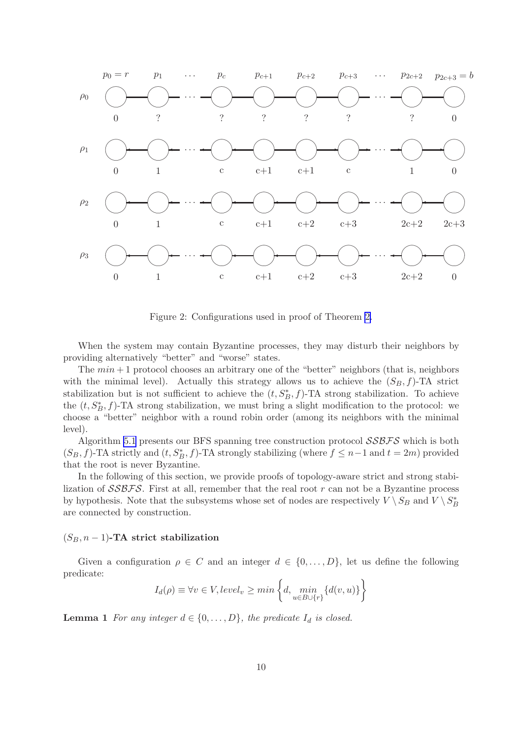<span id="page-10-0"></span>

Figure 2: Configurations used in proof of Theorem [2.](#page-8-0)

When the system may contain Byzantine processes, they may disturb their neighbors by providing alternatively "better" and "worse" states.

The  $min + 1$  protocol chooses an arbitrary one of the "better" neighbors (that is, neighbors with the minimal level). Actually this strategy allows us to achieve the  $(S_B, f)$ -TA strict stabilization but is not sufficient to achieve the  $(t, S_B^*, f)$ -TA strong stabilization. To achieve the  $(t, S_B^*, f)$ -TA strong stabilization, we must bring a slight modification to the protocol: we choose a "better" neighbor with a round robin order (among its neighbors with the minimal level).

Algorithm [5.1](#page-11-0) presents our BFS spanning tree construction protocol  $\mathcal{SSBFS}$  which is both  $(S_B, f)$ -TA strictly and  $(t, S_B^*, f)$ -TA strongly stabilizing (where  $f \leq n-1$  and  $t = 2m$ ) provided that the root is never Byzantine.

In the following of this section, we provide proofs of topology-aware strict and strong stabilization of  $\mathcal{SSBFS}$ . First at all, remember that the real root r can not be a Byzantine process by hypothesis. Note that the subsystems whose set of nodes are respectively  $V \setminus S_B$  and  $V \setminus S_B^*$ are connected by construction.

#### $(S_B, n-1)$ -TA strict stabilization

Given a configuration  $\rho \in C$  and an integer  $d \in \{0, \ldots, D\}$ , let us define the following predicate:

$$
I_d(\rho) \equiv \forall v \in V, level_v \ge \min\left\{d, \min_{u \in B \cup \{r\}} \{d(v, u)\}\right\}
$$

**Lemma 1** *For any integer*  $d \in \{0, \ldots, D\}$ *, the predicate*  $I_d$  *is closed.*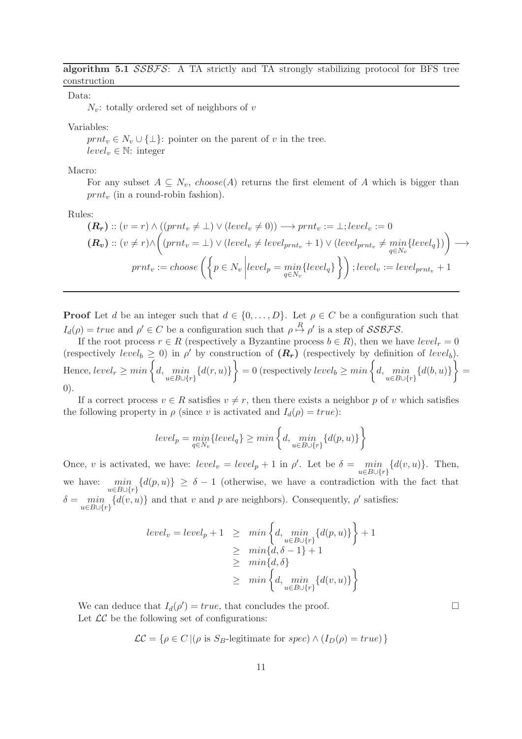<span id="page-11-0"></span>algorithm 5.1  $SSBFS$ : A TA strictly and TA strongly stabilizing protocol for BFS tree construction

Data:

 $N_v$ : totally ordered set of neighbors of v

Variables:

 $prnt_v \in N_v \cup \{\perp\}$ : pointer on the parent of v in the tree.  $level_v \in \mathbb{N}:$  integer

Macro:

For any subset  $A \subseteq N_v$ , choose(A) returns the first element of A which is bigger than  $prnt_v$  (in a round-robin fashion).

Rules:

$$
(\mathbf{R}_{\mathbf{r}}) :: (v = r) \land ((prnt_v \neq \bot) \lor (level_v \neq 0)) \longrightarrow prnt_v := \bot; level_v := 0
$$
  
\n
$$
(\mathbf{R}_{\mathbf{v}}) :: (v \neq r) \land ((prnt_v = \bot) \lor (level_v \neq level_{prnt_v} + 1) \lor (level_{prnt_v} \neq \min_{q \in N_v} \{level_q\}) \longrightarrow
$$
  
\n
$$
prnt_v := choose \left( \left\{ p \in N_v \middle| level_p = \min_{q \in N_v} \{ level_q \} \right\} \right); level_v := level_{prnt_v} + 1
$$

**Proof** Let d be an integer such that  $d \in \{0, \ldots, D\}$ . Let  $\rho \in C$  be a configuration such that  $I_d(\rho) = true$  and  $\rho' \in C$  be a configuration such that  $\rho \stackrel{R}{\mapsto} \rho'$  is a step of SSBFS.

If the root process  $r \in R$  (respectively a Byzantine process  $b \in R$ ), then we have  $level_r = 0$ (respectively level<sub>b</sub>  $\geq$  0) in  $\rho'$  by construction of  $(R_r)$  (respectively by definition of level<sub>b</sub>). Hence,  $level_r \geq min \left\{d, \min_{u \in B \cup \{r\}} \{d(r, u)\}\right\} = 0$  (respectively  $level_b \geq min \left\{d, \min_{u \in B \cup \{r\}} \{d(b, u)\}\right\} = 0$ 0).

If a correct process  $v \in R$  satisfies  $v \neq r$ , then there exists a neighbor p of v which satisfies the following property in  $\rho$  (since v is activated and  $I_d(\rho) = true$ ):

$$
level_p = \min_{q \in N_v} \{level_q\} \ge \min\left\{d, \min_{u \in B \cup \{r\}} \{d(p, u)\}\right\}
$$

Once, v is activated, we have:  $level_v = level_p + 1$  in  $\rho'$ . Let be  $\delta = \min_{u \in B \cup \{r\}} \{d(v, u)\}$ . Then, we have:  $\min_{u \in B \cup \{r\}} \{d(p, u)\} \ge \delta - 1$  (otherwise, we have a contradiction with the fact that  $\delta = \min_{u \in B \cup \{r\}} \{d(v, u)\}\$ and that v and p are neighbors). Consequently,  $\rho'$  satisfies:

$$
level_v = level_p + 1 \geq \min\left\{d, \min_{u \in B \cup \{r\}} \{d(p, u)\}\right\} + 1
$$
  
 
$$
\geq \min\{d, \delta - 1\} + 1
$$
  
 
$$
\geq \min\{d, \delta\}
$$
  
 
$$
\geq \min\left\{d, \min_{u \in B \cup \{r\}} \{d(v, u)\}\right\}
$$

We can deduce that  $I_d(\rho') = true$ , that concludes the proof. Let  $LC$  be the following set of configurations:

$$
\mathcal{LC} = \{ \rho \in C \, | (\rho \text{ is } S_B\text{-legitimate for } spec) \land (I_D(\rho) = true) \}
$$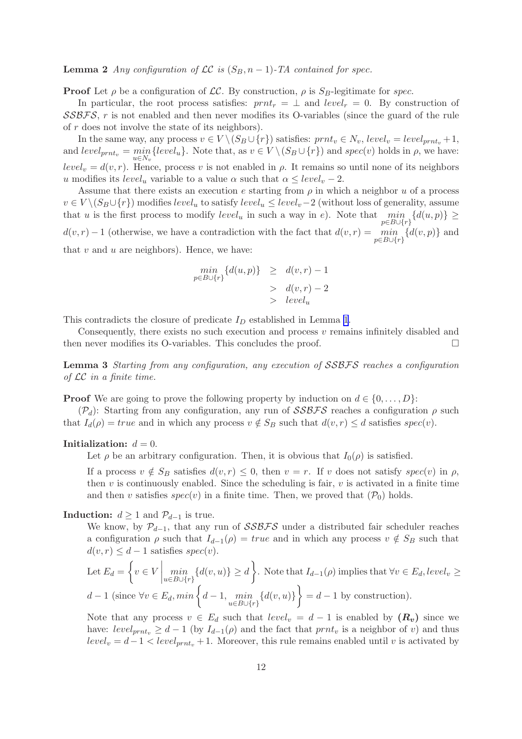<span id="page-12-0"></span>**Lemma 2** *Any configuration of*  $LC$  *is*  $(S_B, n-1)$ *-TA contained for spec.* 

**Proof** Let  $\rho$  be a configuration of LC. By construction,  $\rho$  is  $S_B$ -legitimate for spec.

In particular, the root process satisfies:  $prnt_r = \perp$  and  $level_r = 0$ . By construction of SSBFS, r is not enabled and then never modifies its O-variables (since the guard of the rule of r does not involve the state of its neighbors).

In the same way, any process  $v \in V \setminus (S_B \cup \{r\})$  satisfies:  $prnt_v \in N_v$ ,  $level_v = level_{prnt_v} + 1$ , and  $level_{prnt_v} = min \{level_u\}$ . Note that, as  $v \in V \setminus (S_B \cup \{r\})$  and  $spec(v)$  holds in  $\rho$ , we have:  $u \in N_i$  $level_v = d(v, r)$ . Hence, process v is not enabled in  $\rho$ . It remains so until none of its neighbors u modifies its  $level_u$  variable to a value  $\alpha$  such that  $\alpha \le level_v - 2$ .

Assume that there exists an execution e starting from  $\rho$  in which a neighbor u of a process  $v \in V \setminus (S_B \cup \{r\})$  modifies level<sub>u</sub> to satisfy level<sub>u</sub>  $\leq level_v - 2$  (without loss of generality, assume that u is the first process to modify  $level_u$  in such a way in e). Note that  $\min_{p \in B \cup \{r\}} \{d(u,p)\} \ge$  $d(v,r) - 1$  (otherwise, we have a contradiction with the fact that  $d(v,r) = \min_{p \in B \cup \{r\}} \{d(v,p)\}\$  and that  $v$  and  $u$  are neighbors). Hence, we have:

$$
\begin{aligned}\n\min_{p \in B \cup \{r\}} \{d(u, p)\} &\geq d(v, r) - 1 \\
&> d(v, r) - 2 \\
&> level_u\n\end{aligned}
$$

This contradicts the closure of predicate  $I_D$  established in Lemma [1](#page-10-0).

Consequently, there exists no such execution and process  $v$  remains infinitely disabled and then never modifies its O-variables. This concludes the proof.  $\Box$ 

Lemma 3 *Starting from any configuration, any execution of* SSBFS *reaches a configuration of* LC *in a finite time.*

**Proof** We are going to prove the following property by induction on  $d \in \{0, \ldots, D\}$ :

 $(\mathcal{P}_d)$ : Starting from any configuration, any run of  $\mathcal{SSBFS}$  reaches a configuration  $\rho$  such that  $I_d(\rho) = true$  and in which any process  $v \notin S_B$  such that  $d(v, r) \leq d$  satisfies  $spec(v)$ .

#### Initialization:  $d = 0$ .

Let  $\rho$  be an arbitrary configuration. Then, it is obvious that  $I_0(\rho)$  is satisfied.

If a process  $v \notin S_B$  satisfies  $d(v, r) \leq 0$ , then  $v = r$ . If v does not satisfy  $spec(v)$  in  $\rho$ , then  $v$  is continuously enabled. Since the scheduling is fair,  $v$  is activated in a finite time and then v satisfies  $spec(v)$  in a finite time. Then, we proved that  $(\mathcal{P}_0)$  holds.

**Induction:**  $d \ge 1$  and  $\mathcal{P}_{d-1}$  is true.

We know, by  $\mathcal{P}_{d-1}$ , that any run of SSBFS under a distributed fair scheduler reaches a configuration  $\rho$  such that  $I_{d-1}(\rho) = true$  and in which any process  $v \notin S_B$  such that  $d(v, r) \leq d - 1$  satisfies  $spec(v)$ .

Let 
$$
E_d = \left\{ v \in V \mid \min_{u \in B \cup \{r\}} \{d(v, u)\} \ge d \right\}
$$
. Note that  $I_{d-1}(\rho)$  implies that  $\forall v \in E_d$ ,  $level_v \ge d - 1$  (since  $\forall v \in E_d$ ,  $min \left\{ d - 1, \min_{u \in B \cup \{r\}} \{d(v, u)\} \right\} = d - 1$  by construction).

Note that any process  $v \in E_d$  such that  $level_v = d - 1$  is enabled by  $(R_v)$  since we have:  $level_{prnt_v} \geq d-1$  (by  $I_{d-1}(\rho)$  and the fact that  $prnt_v$  is a neighbor of v) and thus  $level_v = d-1 < level_{prnt_v} + 1$ . Moreover, this rule remains enabled until v is activated by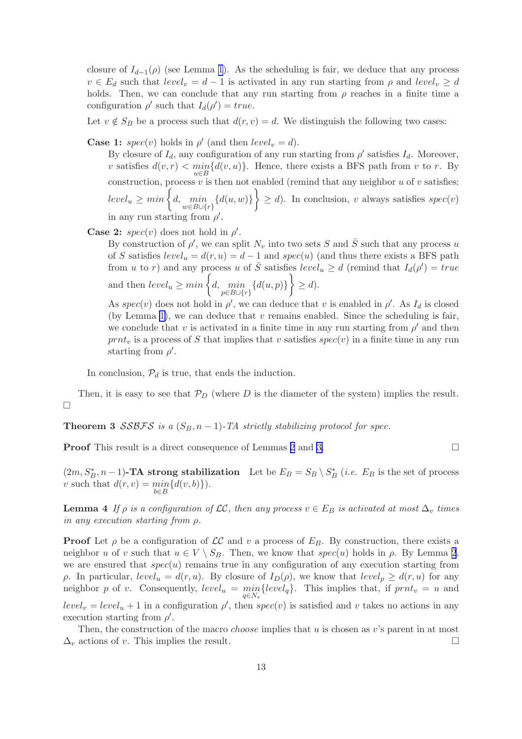<span id="page-13-0"></span>closure of  $I_{d-1}(\rho)$  (see Lemma [1](#page-10-0)). As the scheduling is fair, we deduce that any process  $v \in E_d$  such that  $level_v = d - 1$  is activated in any run starting from  $\rho$  and  $level_v \geq d$ holds. Then, we can conclude that any run starting from  $\rho$  reaches in a finite time a configuration  $\rho'$  such that  $I_d(\rho') = true$ .

Let  $v \notin S_B$  be a process such that  $d(r, v) = d$ . We distinguish the following two cases:

**Case 1:**  $spec(v)$  holds in  $\rho'$  (and then  $level_v = d$ ).

By closure of  $I_d$ , any configuration of any run starting from  $\rho'$  satisfies  $I_d$ . Moreover, v satisfies  $d(v,r) < \min_{u \in B} \{d(v,u)\}.$  Hence, there exists a BFS path from v to r. By construction, process  $v$  is then not enabled (remind that any neighbor  $u$  of  $v$  satisfies:  $level_u \geq min \left\{d, \min_{w \in B \cup \{r\}} \{d(u, w)\}\right\} \geq d$ . In conclusion, v always satisfies  $spec(v)$ in any run starting from  $\rho'$ .

**Case 2:**  $spec(v)$  does not hold in  $\rho'$ .

By construction of  $\rho'$ , we can split  $N_v$  into two sets S and  $\overline{S}$  such that any process u of S satisfies  $level_u = d(r, u) = d - 1$  and  $spec(u)$  (and thus there exists a BFS path from u to r) and any process u of  $\overline{S}$  satisfies  $level_u \geq d$  (remind that  $I_d(\rho') = true$ and then  $level_u \geq min \left\{d, \min_{p \in B \cup \{r\}} \{d(u, p)\}\right\} \geq d$ .

As  $spec(v)$  does not hold in  $\rho'$ , we can deduce that v is enabled in  $\rho'$ . As  $I_d$  is closed (by Lemma [1\)](#page-10-0), we can deduce that  $v$  remains enabled. Since the scheduling is fair, we conclude that v is activated in a finite time in any run starting from  $\rho'$  and then  $prnt<sub>v</sub>$  is a process of S that implies that v satisfies  $spec(v)$  in a finite time in any run starting from  $\rho'$ .

In conclusion,  $P_d$  is true, that ends the induction.

Then, it is easy to see that  $\mathcal{P}_D$  (where D is the diameter of the system) implies the result.  $\Box$ 

Theorem 3  $SSBFS$  is a  $(S_B, n-1)$ -TA strictly stabilizing protocol for spec.

**Proof** This result is a direct consequence of Lemmas [2](#page-11-0) and [3.](#page-12-0)

 $(2m, S_B^*, n-1)$ -**TA strong stabilization** Let be  $E_B = S_B \setminus S_B^*$  (*i.e.*  $E_B$  is the set of process v such that  $d(r, v) = \min_{b \in B} \{d(v, b)\}\)$ .

**Lemma 4** *If*  $\rho$  *is a configuration of*  $\mathcal{LC}$ *, then any process*  $v \in E_B$  *is activated at most*  $\Delta_v$  *times in any execution starting from* ρ*.*

**Proof** Let  $\rho$  be a configuration of  $\mathcal{LC}$  and v a process of  $E_B$ . By construction, there exists a neighbor u of v such that  $u \in V \setminus S_B$ . Then, we know that  $spec(u)$  holds in  $\rho$ . By Lemma [2](#page-11-0), we are ensured that  $spec(u)$  remains true in any configuration of any execution starting from ρ. In particular,  $level_u = d(r, u)$ . By closure of  $I_D(\rho)$ , we know that  $level_p \geq d(r, u)$  for any neighbor p of v. Consequently,  $level_u = \min_{q \in N_v} \{level_q\}$ . This implies that, if  $prnt_v = u$  and  $level_v = level_u + 1$  in a configuration  $\rho'$ , then  $spec(v)$  is satisfied and v takes no actions in any execution starting from  $\rho'$ .

Then, the construction of the macro *choose* implies that  $u$  is chosen as  $v$ 's parent in at most  $\Delta_v$  actions of v. This implies the result.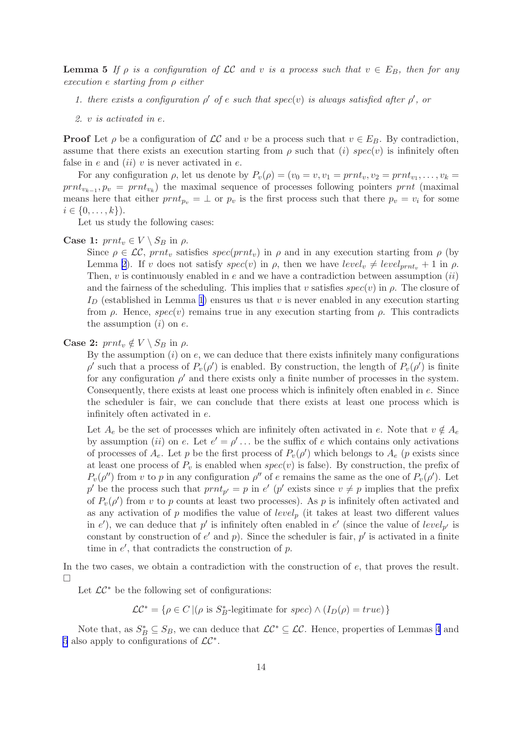<span id="page-14-0"></span>**Lemma 5** If  $\rho$  *is a configuration of* LC *and* v *is a process such that*  $v \in E_B$ *, then for any execution* e *starting from* ρ *either*

- *1. there exists a configuration*  $\rho'$  *of*  $e$  *such that spec(v) is always satisfied after*  $\rho'$ , *or*
- *2.* v *is activated in* e*.*

**Proof** Let  $\rho$  be a configuration of  $\mathcal{LC}$  and v be a process such that  $v \in E_B$ . By contradiction, assume that there exists an execution starting from  $\rho$  such that (i) spec(v) is infinitely often false in e and  $(ii)$  v is never activated in e.

For any configuration  $\rho$ , let us denote by  $P_v(\rho) = (v_0 = v, v_1 = prnt_v, v_2 = prnt_{v_1}, \ldots, v_k =$  $prnt_{v_{k-1}}, p_v = prnt_{v_k}$ ) the maximal sequence of processes following pointers prnt (maximal means here that either  $prnt_{p_v} = \perp$  or  $p_v$  is the first process such that there  $p_v = v_i$  for some  $i \in \{0, \ldots, k\}$ .

Let us study the following cases:

#### **Case 1:**  $prnt_v \in V \setminus S_B$  in  $\rho$ .

Since  $\rho \in \mathcal{LC}$ , prnt<sub>v</sub> satisfies spec(prnt<sub>v</sub>) in  $\rho$  and in any execution starting from  $\rho$  (by Lemma [2](#page-11-0)). If v does not satisfy  $spec(v)$  in  $\rho$ , then we have  $level_v \neq level_{prnt_v} + 1$  in  $\rho$ . Then,  $v$  is continuously enabled in  $e$  and we have a contradiction between assumption  $(ii)$ and the fairness of the scheduling. This implies that v satisfies  $spec(v)$  in  $\rho$ . The closure of  $I_D$  (established in Lemma [1](#page-10-0)) ensures us that v is never enabled in any execution starting from ρ. Hence,  $spec(v)$  remains true in any execution starting from ρ. This contradicts the assumption  $(i)$  on  $e$ .

#### **Case 2:**  $prnt_v \notin V \setminus S_B$  in  $\rho$ .

By the assumption  $(i)$  on  $e$ , we can deduce that there exists infinitely many configurations  $\rho'$  such that a process of  $P_v(\rho')$  is enabled. By construction, the length of  $P_v(\rho')$  is finite for any configuration  $\rho'$  and there exists only a finite number of processes in the system. Consequently, there exists at least one process which is infinitely often enabled in e. Since the scheduler is fair, we can conclude that there exists at least one process which is infinitely often activated in e.

Let  $A_e$  be the set of processes which are infinitely often activated in e. Note that  $v \notin A_e$ by assumption (ii) on e. Let  $e' = \rho' \dots$  be the suffix of e which contains only activations of processes of  $A_e$ . Let p be the first process of  $P_v(\rho')$  which belongs to  $A_e$  (p exists since at least one process of  $P_v$  is enabled when spec(v) is false). By construction, the prefix of  $P_v(\rho'')$  from v to p in any configuration  $\rho''$  of e remains the same as the one of  $P_v(\rho')$ . Let p' be the process such that  $prnt_{p'} = p$  in  $e'$  (p' exists since  $v \neq p$  implies that the prefix of  $P_v(\rho')$  from v to p counts at least two processes). As p is infinitely often activated and as any activation of p modifies the value of  $level_p$  (it takes at least two different values in e'), we can deduce that p' is infinitely often enabled in e' (since the value of  $level_{p'}$  is constant by construction of  $e'$  and  $p$ ). Since the scheduler is fair,  $p'$  is activated in a finite time in  $e'$ , that contradicts the construction of  $p$ .

In the two cases, we obtain a contradiction with the construction of e, that proves the result. П

Let  $\mathcal{LC}^*$  be the following set of configurations:

 $\mathcal{LC}^* = \{ \rho \in C \mid (\rho \text{ is } S_B^* \text{-legitimate for } spec) \wedge (I_D(\rho) = true) \}$ 

Note that, as  $S_B^* \subseteq S_B$ , we can deduce that  $\mathcal{LC}^* \subseteq \mathcal{LC}$ . Hence, properties of Lemmas [4](#page-13-0) and [5](#page-13-0) also apply to configurations of  $\mathcal{LC}^*$ .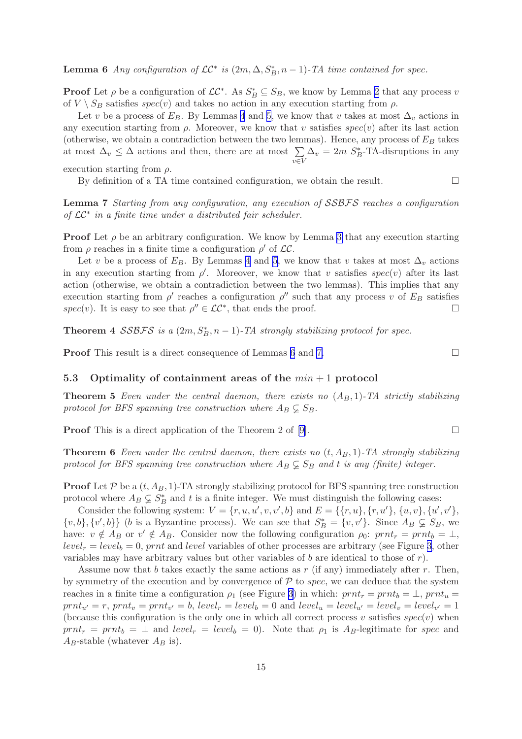<span id="page-15-0"></span>**Lemma 6** Any configuration of  $LC^*$  is  $(2m, \Delta, S_B^*, n-1)$ -TA time contained for spec.

**Proof** Let  $\rho$  be a configuration of  $\mathcal{LC}^*$ . As  $S_B^* \subseteq S_B$ , we know by Lemma [2](#page-11-0) that any process v of  $V \setminus S_B$  satisfies  $spec(v)$  and takes no action in any execution starting from  $\rho$ .

Let v be a process of  $E_B$ . By Lemmas [4](#page-13-0) and [5](#page-13-0), we know that v takes at most  $\Delta_v$  actions in any execution starting from  $\rho$ . Moreover, we know that v satisfies spec(v) after its last action (otherwise, we obtain a contradiction between the two lemmas). Hence, any process of  $E_B$  takes at most  $\Delta_v \leq \Delta$  actions and then, there are at most  $\sum$ v∈V  $\Delta_v = 2m S_B^*$ -TA-disruptions in any

execution starting from  $\rho$ .

By definition of a TA time contained configuration, we obtain the result.  $\Box$ 

Lemma 7 *Starting from any configuration, any execution of* SSBFS *reaches a configuration of* LC<sup>∗</sup> *in a finite time under a distributed fair scheduler.*

**Proof** Let  $\rho$  be an arbitrary configuration. We know by Lemma [3](#page-12-0) that any execution starting from  $\rho$  reaches in a finite time a configuration  $\rho'$  of  $\mathcal{LC}$ .

Let v be a process of  $E_B$ . By Lemmas [4](#page-13-0) and [5](#page-13-0), we know that v takes at most  $\Delta_v$  actions in any execution starting from  $\rho'$ . Moreover, we know that v satisfies spec(v) after its last action (otherwise, we obtain a contradiction between the two lemmas). This implies that any execution starting from  $\rho'$  reaches a configuration  $\rho''$  such that any process v of  $E_B$  satisfies spec(v). It is easy to see that  $\rho'' \in \mathcal{LC}^*$ , that ends the proof.

Theorem 4  $SSBFS$  is a  $(2m, S_B^*, n-1)$ -TA strongly stabilizing protocol for spec.

**Proof** This result is a direct consequence of Lemmas [6](#page-14-0) and 7.

5.3 Optimality of containment areas of the  $min + 1$  protocol

**Theorem 5** *Even under the central daemon, there exists no*  $(A_B, 1)$ -TA *strictly stabilizing* protocol for BFS spanning tree construction where  $A_B \subsetneq S_B$ .

**Proof** This is a direct application of the Theorem 2 of [\[9\]](#page-18-0).

**Theorem 6** *Even under the central daemon, there exists no*  $(t, A<sub>B</sub>, 1)$ *-TA strongly stabilizing* protocol for BFS spanning tree construction where  $A_B \subsetneq S_B$  and t *is any (finite) integer.* 

**Proof** Let P be a  $(t, A_B, 1)$ -TA strongly stabilizing protocol for BFS spanning tree construction protocol where  $A_B \subsetneq S_B^*$  and t is a finite integer. We must distinguish the following cases:

Consider the following system:  $V = \{r, u, u', v, v', b\}$  and  $E = \{\{r, u\}, \{r, u'\}, \{u, v\}, \{u', v'\},\}$  $\{v, b\}, \{v', b\}\}\$ (b is a Byzantine process). We can see that  $S_B^* = \{v, v'\}\$ . Since  $A_B \subsetneq S_B$ , we have:  $v \notin A_B$  or  $v' \notin A_B$ . Consider now the following configuration  $\rho_0$ :  $prnt_r = prnt_b = \perp$ ,  $level_r = level_b = 0$ , prnt and level variables of other processes are arbitrary (see Figure [3](#page-16-0), other variables may have arbitrary values but other variables of b are identical to those of  $r$ ).

Assume now that b takes exactly the same actions as r (if any) immediately after r. Then, by symmetry of the execution and by convergence of  $P$  to spec, we can deduce that the system reaches in a finite time a configuration  $\rho_1$  (see Figure [3](#page-16-0)) in which:  $prnt_r = prnt_b = \perp, prnt_u =$  $print_{u'} = r$ ,  $prnt_v = prnt_{v'} = b$ ,  $level_r = level_b = 0$  and  $level_u = level_{u'} = level_v = level_{v'} = 1$ (because this configuration is the only one in which all correct process v satisfies  $spec(v)$  when  $prnt_r = prnt_b = \perp$  and  $level_r = level_b = 0$ ). Note that  $\rho_1$  is  $A_B$ -legitimate for spec and  $A_B$ -stable (whatever  $A_B$  is).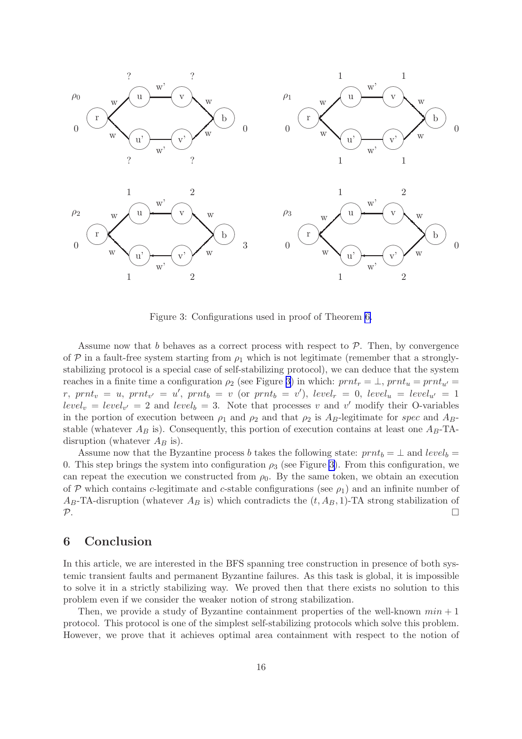<span id="page-16-0"></span>

Figure 3: Configurations used in proof of Theorem [6.](#page-15-0)

Assume now that b behaves as a correct process with respect to  $P$ . Then, by convergence of  $P$  in a fault-free system starting from  $\rho_1$  which is not legitimate (remember that a stronglystabilizing protocol is a special case of self-stabilizing protocol), we can deduce that the system reaches in a finite time a configuration  $\rho_2$  (see Figure 3) in which:  $prnt_r = \perp$ ,  $prnt_u = prnt_{u'}$  $r, \; prnt_v = u, \; prnt_{v'} = u', \; prnt_b = v \; (or \; prnt_b = v'), \; level_r = 0, \; level_u = level_{u'} = 1$  $level_v = level_{v'} = 2$  and  $level_b = 3$ . Note that processes v and v' modify their O-variables in the portion of execution between  $\rho_1$  and  $\rho_2$  and that  $\rho_2$  is  $A_B$ -legitimate for spec and  $A_B$ stable (whatever  $A_B$  is). Consequently, this portion of execution contains at least one  $A_B$ -TAdisruption (whatever  $A_B$  is).

Assume now that the Byzantine process b takes the following state:  $prnt_b = \perp$  and  $level_b =$ 0. This step brings the system into configuration  $\rho_3$  (see Figure 3). From this configuration, we can repeat the execution we constructed from  $\rho_0$ . By the same token, we obtain an execution of P which contains c-legitimate and c-stable configurations (see  $\rho_1$ ) and an infinite number of  $A_B$ -TA-disruption (whatever  $A_B$  is) which contradicts the  $(t, A_B, 1)$ -TA strong stabilization of  $\mathcal{P}.$ 

### 6 Conclusion

In this article, we are interested in the BFS spanning tree construction in presence of both systemic transient faults and permanent Byzantine failures. As this task is global, it is impossible to solve it in a strictly stabilizing way. We proved then that there exists no solution to this problem even if we consider the weaker notion of strong stabilization.

Then, we provide a study of Byzantine containment properties of the well-known  $min + 1$ protocol. This protocol is one of the simplest self-stabilizing protocols which solve this problem. However, we prove that it achieves optimal area containment with respect to the notion of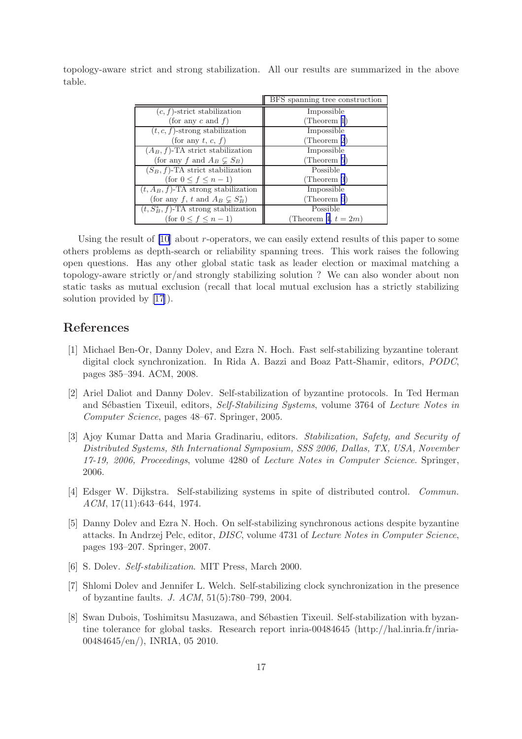|                                            | BFS spanning tree construction |
|--------------------------------------------|--------------------------------|
| $(c, f)$ -strict stabilization             | Impossible                     |
| (for any $c$ and $f$ )                     | (Theorem 1)                    |
| $(t, c, f)$ -strong stabilization          | Impossible                     |
| (for any t, c, f)                          | (Theorem 2)                    |
| $(A_B, f)$ -TA strict stabilization        | Impossible                     |
| (for any f and $A_B \subsetneq S_B$ )      | (Theorem $5$ )                 |
| $(S_B, f)$ -TA strict stabilization        | Possible                       |
| $(\text{for } 0 \leq f \leq n-1)$          | (Theorem 3)                    |
| $(t, A_B, f)$ -TA strong stabilization     | Impossible                     |
| (for any f, t and $A_B \subsetneq S_B^*$ ) | (Theorem 6)                    |
| $(t, S_B^*, f)$ -TA strong stabilization   | Possible                       |
| (for $0 \leq f \leq n-1$ )                 | Theorem 4, $t = 2m$ )          |

<span id="page-17-0"></span>topology-aware strict and strong stabilization. All our results are summarized in the above table.

Using the result of [\[10](#page-18-0)] about r-operators, we can easily extend results of this paper to some others problems as depth-search or reliability spanning trees. This work raises the following open questions. Has any other global static task as leader election or maximal matching a topology-aware strictly or/and strongly stabilizing solution ? We can also wonder about non static tasks as mutual exclusion (recall that local mutual exclusion has a strictly stabilizing solution provided by [\[17](#page-18-0)]).

## References

- [1] Michael Ben-Or, Danny Dolev, and Ezra N. Hoch. Fast self-stabilizing byzantine tolerant digital clock synchronization. In Rida A. Bazzi and Boaz Patt-Shamir, editors, *PODC*, pages 385–394. ACM, 2008.
- [2] Ariel Daliot and Danny Dolev. Self-stabilization of byzantine protocols. In Ted Herman and S´ebastien Tixeuil, editors, *Self-Stabilizing Systems*, volume 3764 of *Lecture Notes in Computer Science*, pages 48–67. Springer, 2005.
- [3] Ajoy Kumar Datta and Maria Gradinariu, editors. *Stabilization, Safety, and Security of Distributed Systems, 8th International Symposium, SSS 2006, Dallas, TX, USA, November 17-19, 2006, Proceedings*, volume 4280 of *Lecture Notes in Computer Science*. Springer, 2006.
- [4] Edsger W. Dijkstra. Self-stabilizing systems in spite of distributed control. *Commun. ACM*, 17(11):643–644, 1974.
- [5] Danny Dolev and Ezra N. Hoch. On self-stabilizing synchronous actions despite byzantine attacks. In Andrzej Pelc, editor, *DISC*, volume 4731 of *Lecture Notes in Computer Science*, pages 193–207. Springer, 2007.
- [6] S. Dolev. *Self-stabilization*. MIT Press, March 2000.
- [7] Shlomi Dolev and Jennifer L. Welch. Self-stabilizing clock synchronization in the presence of byzantine faults. *J. ACM*, 51(5):780–799, 2004.
- [8] Swan Dubois, Toshimitsu Masuzawa, and Sébastien Tixeuil. Self-stabilization with byzantine tolerance for global tasks. Research report inria-00484645 (http://hal.inria.fr/inria-00484645/en/), INRIA, 05 2010.